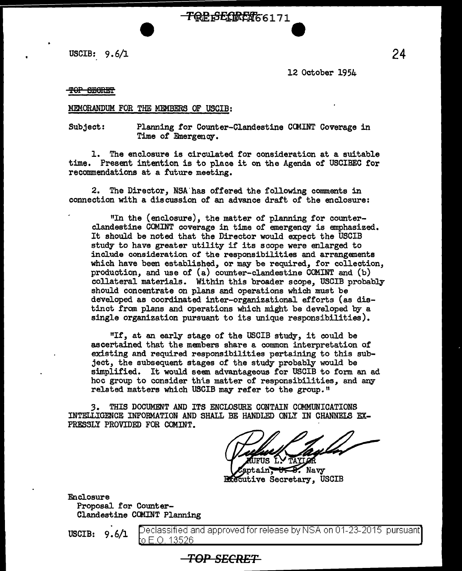USCIB:  $9.6/1$ 

12 October 1954

TOP 6EORET

### MEMORANDUM FOR THE MEMBERS OF USCIB:

Subject: Planning for Counter-Clandestine CCMINT Coverage in Time of Emergency.

**TOP SECRET**66171

1. The enclosure is circulated for consideration at a suitable time. Present intention is to place it on the Agenda of USCIBEC for recommendations at a future meeting.

2. The Director, NSA'has offered the following comments in connection with a discussion of an advance draft of the enclosure:

"In the (enclosure), the matter of planning for counterclandestine GOMINT coverage in time of emergency is emphasized. It should be noted that the Director would expect the USCIB study to have greater utility if its scope were enlarged to include consideration of the responsibilities and arrangements which have been established, or may be required, for collection, production, and use of (a) counter-clandestine COMINT and (b) collateral materials. Within this broader scope, USCIB probably should concentrate on plans and operations which must be developed as coordinated inter-organizational efforts (as distinct from plans and operations which might be developed by a single organization pursuant to its unique responsibilities).

"If, at an early stage of the USCIB study, it could be ascertained that the members share a common interpretation of existing and required responsibilities pertaining to this subject, the subsequent stages of the study probably would be simplified. It would seem advantageous for USCIB to form an ad hoc group to consider this matter of responsibilities, and any related matters which USCIB may refer to the group."

*3.* THIS DOCUMENT AND ITS ENCLOSURE CONTAIN COMMUNICATIONS INTELLIGENCE INFORMATION AND SHALL BE HANDLED ONLY IN CHANNELS EX-PRESSLY PROVIDED FOR COMINT.

**TOP SECRET** 

 $\sim$  Navy **Executive Secretary, USCIB** 

Enclosure Proposal for Counter-Clandestine CCMINT Planning

 $\textbf{uscIB:} \quad 9.6/\textbf{1} \quad \text{Deciagsified and approved for release by NSA on 01-23-2015 pursuant?}$ o E.O. 13526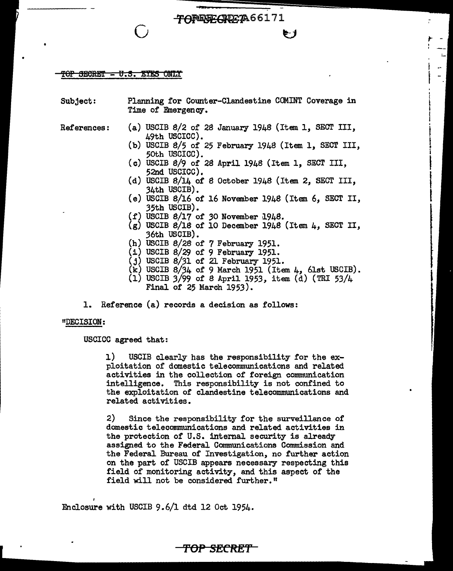#### TOP SECRET - U.S. EYES ONLY

| <b>Subject:</b>       | Planning for Counter-Clandestine COMINT Coverage in<br>Time of Emergency. |
|-----------------------|---------------------------------------------------------------------------|
| ${\tt Ref}$ erences : | (a) USCIB $8/2$ of 28 January 1948 (Item 1, SECT III,<br>49th USCICC).    |
|                       | (b) USCIB 8/5 of 25 February $1948$ (Item 1, SECT III,<br>50th USCICC).   |
|                       | (c) USCIB 8/9 of 28 April 1948 (Item 1, SECT III,<br>52nd USCICC).        |
|                       | (d) USCIB $8/14$ of 8 October 1948 (Item 2, SECT III,<br>34th USCIB).     |
|                       | (e) USCIB $8/16$ of 16 November 1948 (Item 6, SECT II,<br>35th USCIB).    |
|                       | (f) USCIB $8/17$ of 30 November 1948.                                     |
|                       | $(g)$ USCIB 8/18 of 10 December 1948 (Item 4, SECT II,<br>36th USCIB).    |
|                       | (h) USCIB $8/28$ of $7$ February 1951.                                    |
|                       | $(i)$ USCIB 8/29 of 9 February 1951.                                      |
|                       | $(j)$ USCIB $8/31$ of 21 February 1951.                                   |
|                       | $(k)$ USCIB 8/34 of 9 March 1951 (Item 4, 61st USCIB).                    |

TOREGECREETA66171

**u** 

|<br>|<br>|

- (1) USCIB  $3/99$  of 8 April 1953, item (d) (TRI 53/4 Final of 25 March 1953).
- 1. Reference (a) records a decision as follows:

### "DECISION:

I

USCICC agreed that:

1) USCIB clearly has the responsibility for the exploitation of domestic telecommunications and related activities in the collection of foreign communication intelligence. This responsibility is not confined to the exploitation of clandestine telecommunications and related activities.

2) Since the responsibility for the surveillance of domestic telecommunications and related activities in the protection of U.S. internal security is already assigned to the Federal Communications Commission and the Federal Bureau of Investigation, no further action on the part of USCIB appears necessary respecting this field of monitoring activity, and this aspect of the field will not be considered further."

**TOP SECRET** 

Enclosure with USCIB 9.6/1 dtd 12 Oct 1954.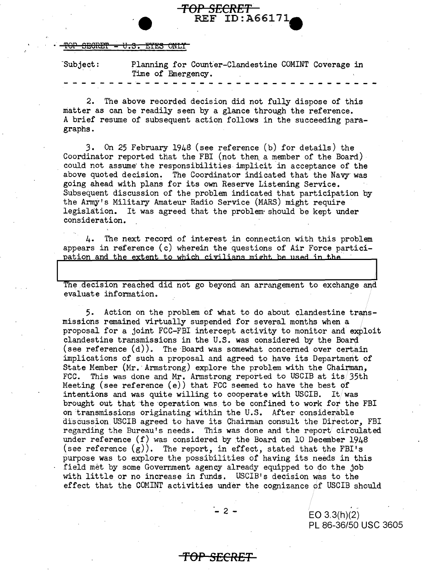<del>AFICIRET</del> <del>ILS. BYES ONLY</del>

| Subject: | Planning for Counter-Clandestine COMINT Coverage in |  |
|----------|-----------------------------------------------------|--|
|          | Time of Emergency.                                  |  |
|          |                                                     |  |

**TOP SECRET ·e** REF ID:A66171-

2. The above recorded decision did not fully dispose of this matter as can be readily seen by a glance through the reference. A brief resume of subsequent action follows in the succeeding paragraphs.

3. On 25 February 1948 (see reference (b) for details) the Coordinator reported that the FBI (not then a member of the Board) could not assume the responsibilities implicit in acceptance of the above quoted decision. The Coordinator indicated that the Navy was going ahead with plans for its own Reserve Listening Service. Subsequent discussion of the problem indicated that participation by the Army's Military Amateur Radio Service (MARS) might require legislation. It was agreed that the problem· should be kept under consideration.

4. The next record of interest in connection with this problem appears in reference  $(c)$  wherein the questions of Air Force participation and the extent to which civilians might be used in the

The decision reached did not go beyond an arrangement to exchange and evaluate information.

5. Action on the problem of what to do about clandestine transmissions remained virtually suspended for several months when a proposal for a joint FCC-FBI intercept activity to monitor and exploit clandestine transmissions in the U.S. was considered by the Board (see reference (d)). The Board was somewhat concerned over certain implications of such a proposal and agreed to have its Department of State Member (Mr. Armstrong) explore the problem with the Chairman, FCC. This was done and Mr. Armstrong reported to USCIB at its/35th Meeting (see reference (e)) that FCC seemed to have the best of intentions and was quite willing to cooperate with USCIB. It was brought out that the operation was to be confined to work for the FBI on transmissions originating Within the U.S. After considerable discussion USCIB agreed to have its Chairman consult the Director, FBI regarding the Bureau's needs. This was done and the report circulated under reference  $(f)$  was considered by the Board on 10 December 1948 (see reference  $(g)$ ). The report, in effect, stated that the FBI's purpose was to explore the possibilities of having its needs in this field met by some Government agency already equipped to do the job with little or no increase in funds. USCIB's decision was to the effect that the COMINT activities under the cognizance of USCIB should

.\_ 2 -

**TOP SECRET** 

EO 3.3(h)(2) PL 86-36/50 USC 3605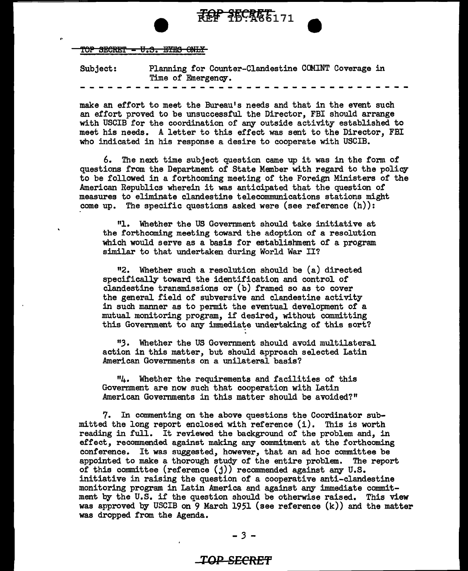

 $\frac{1}{2}$ 

TOP SECRET - U.S. EYES ONLY

Subject: Planning for Counter-Clandestine CCMINT Coverage in Time of Emergency.

make an effort to meet the Bureau's needs and that in the event such an effort proved to be unsuccessful the Director, FBI should arrange with USCIB for the coordination of any outside activity established to meet his needs. A letter to this effect was sent to the Director, FBI who indicated in his response a desire to cooperate with USCIB.

6. The next time subject question came up it was in the fonn of questions from the Department of State Member with regard to the policy to be followed in a forthcoming meeting of the Foreign Ministers of the American Republics wherein it was anticipated that the question of measures to eliminate clandestine telecommunications stations might come up. The specific questions asked were (see reference  $(h)$ ):

"1. Whether the US Government should take initiative at the forthcoming meeting toward the adoption of a resolution which would serve as a basis for establishment of a program similar to that undertaken during World War II?

112. Whether such a resolution should be (a) directed specifically toward the identification and control of clandestine transmissions or (b) framed so as to cover the general field of subversive and clandestine activity in such manner as to permit the eventual development of a mutual monitoring program, if desired, without committing this Government to any immediate undertaking of this sort?

*"3·* Whether the US Government should avoid multilateral action in this matter, but should approach selected Latin American Governments on a unilateral basis?

114. Whether the requirements and facilities of this Government are now such that cooperation with Latin American Governments in this matter should be avoided?"

7. In commenting on the above questions the Coordinator submitted the long report enclosed with reference (i). This is worth reading in full. It reviewed the background of the problem and, in effect, recommended. against making any commitment at the forthcoming conference. It was suggested, however, that an ad hoc committee be appointed to make a thorough study of the entire problem. The report of this committee (reference (j)) recommended against any U.S. initiative in raising the question of a cooperative anti-clandestine monitoring program in Latin America and against any immediate commitment by the U.S. if the question should be otherwise raised. This view was approved by USCIB on  $9$  March 1951 (see reference  $(k)$ ) and the matter was dropped from the Agenda.

## *TOP* **SECRE'f**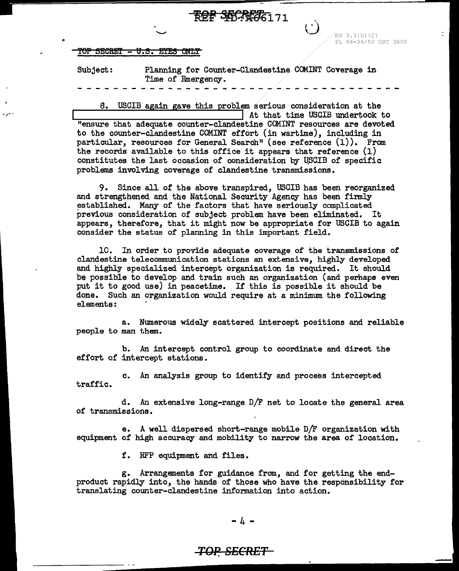| REF PLD-12-66171 |  |
|------------------|--|
|                  |  |
|                  |  |

 $EO$  3.3 $(h)$  $(2)$ PL 86-36/50 USC 3605

TOP SECRET - U.S. EYES ONLY

• ..

.......

Subject: Planning for Counter-Clandestine.COMINT Coverage in Time of Emergency.

8. USCIB again gave this problem.serious consideration at the ...\_\_ \_\_\_\_\_\_\_\_\_\_\_\_ .....,,... \_ \_\_.I At that time USCIB undertook to "ensure that adequate counter-clandestine COMINT resources are devoted to the counter-clandestine COMINT effort (in wartime), including in particular, resources for General Search" {see reference (1)). From the records available to this office it appears that reference  $(1)$ constitutes the last occasion of consideration by USCIB of specific problems involving coverage of clandestine transmissions.

9. Since all of the above transpired, USCIB has been reorganized and strengthened and the National Security Agency has been firmly established. Many of the factors that have seriously complicated previous consideration of subject problem have been eliminated. It appears, therefore, that it might now be appropriate for USCIB to again consider the status of planning in this important field.

10. In order to provide adequate coverage of the transmissions of clandestine telecommunication stations an extensive, highly developed and highly specialized intercept organization is required. It should be possible to develop and train such an organization (and perhaps even put it to good use) in peacetime. If this is possible it should be done. Such an organization would require at a minimum the following elements:

a. Numerous widely scattered intercept positions and reliable people to man them.

b. An intercept control group to coordinate and direct the effort of intercept stations.

c. An analysis group to identify and process intercepted traffic.

d. *An* extensive long-range D/F net to locate the general area of transmissions.

e. A well dispersed short-range mobile D/F organization with equipment of high accuracy and mobility to narrow the area of location.

f. RFP equipment and files.

g. Arrangements for guidance from, and for getting the endproduct rapidly into, the hands of those who have the responsibility for translating counter-clandestine information into action.

### *TOP. SECRET*